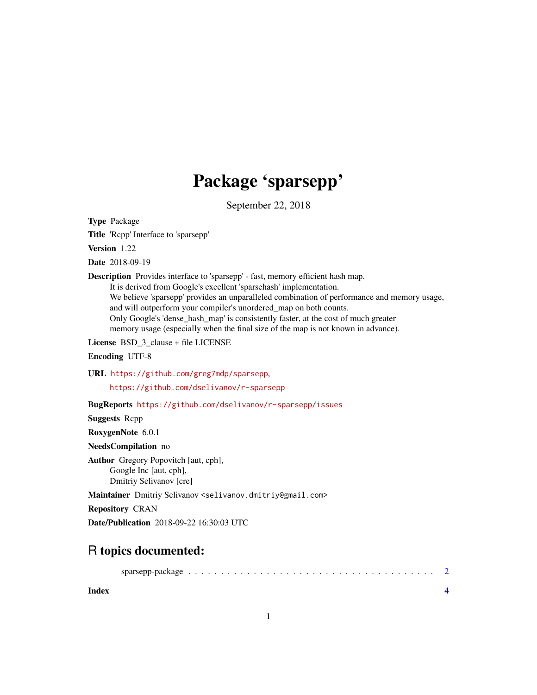## Package 'sparsepp'

September 22, 2018

Type Package

Title 'Rcpp' Interface to 'sparsepp'

Version 1.22

Date 2018-09-19

Description Provides interface to 'sparsepp' - fast, memory efficient hash map.

It is derived from Google's excellent 'sparsehash' implementation. We believe 'sparsepp' provides an unparalleled combination of performance and memory usage, and will outperform your compiler's unordered\_map on both counts. Only Google's 'dense\_hash\_map' is consistently faster, at the cost of much greater memory usage (especially when the final size of the map is not known in advance).

License BSD\_3\_clause + file LICENSE

Encoding UTF-8

URL <https://github.com/greg7mdp/sparsepp>, <https://github.com/dselivanov/r-sparsepp>

BugReports <https://github.com/dselivanov/r-sparsepp/issues>

Suggests Rcpp

RoxygenNote 6.0.1

NeedsCompilation no

Author Gregory Popovitch [aut, cph], Google Inc [aut, cph], Dmitriy Selivanov [cre]

Maintainer Dmitriy Selivanov <selivanov.dmitriy@gmail.com>

Repository CRAN

Date/Publication 2018-09-22 16:30:03 UTC

### R topics documented:

|--|--|--|--|--|--|--|--|--|--|--|--|--|--|--|--|--|--|--|--|--|--|--|--|--|--|--|--|--|--|--|--|--|--|--|--|--|--|--|--|--|--|--|

**Index** [4](#page-3-0)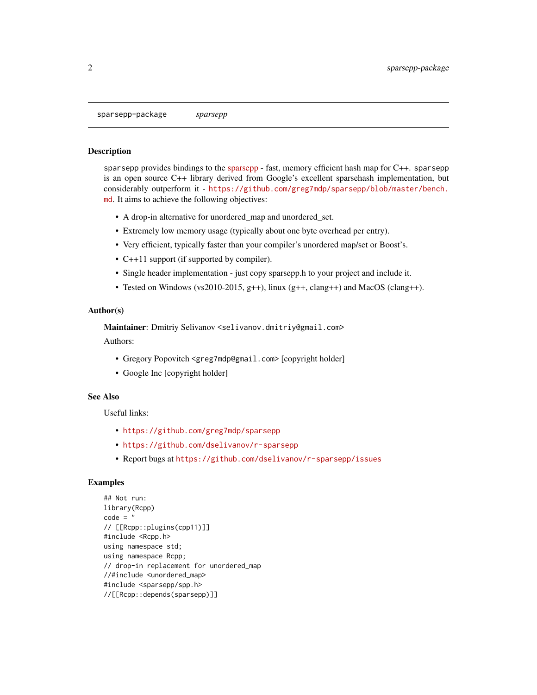#### <span id="page-1-0"></span>**Description**

[sparsepp](https://github.com/greg7mdp/sparsepp) provides bindings to the sparsepp - fast, memory efficient hash map for C++. sparsepp is an open source C++ library derived from Google's excellent sparsehash implementation, but considerably outperform it - [https://github.com/greg7mdp/sparsepp/blob/master/bench.](https://github.com/greg7mdp/sparsepp/blob/master/bench.md) [md](https://github.com/greg7mdp/sparsepp/blob/master/bench.md). It aims to achieve the following objectives:

- A drop-in alternative for unordered\_map and unordered\_set.
- Extremely low memory usage (typically about one byte overhead per entry).
- Very efficient, typically faster than your compiler's unordered map/set or Boost's.
- C++11 support (if supported by compiler).
- Single header implementation just copy sparsepp.h to your project and include it.
- Tested on Windows (vs2010-2015, g++), linux (g++, clang++) and MacOS (clang++).

#### Author(s)

Maintainer: Dmitriy Selivanov <selivanov.dmitriy@gmail.com>

Authors:

- Gregory Popovitch <greg7mdp@gmail.com> [copyright holder]
- Google Inc [copyright holder]

#### See Also

Useful links:

- <https://github.com/greg7mdp/sparsepp>
- <https://github.com/dselivanov/r-sparsepp>
- Report bugs at <https://github.com/dselivanov/r-sparsepp/issues>

#### Examples

```
## Not run:
library(Rcpp)
code = "// [[Rcpp::plugins(cpp11)]]
#include <Rcpp.h>
using namespace std;
using namespace Rcpp;
// drop-in replacement for unordered_map
//#include <unordered_map>
#include <sparsepp/spp.h>
//[[Rcpp::depends(sparsepp)]]
```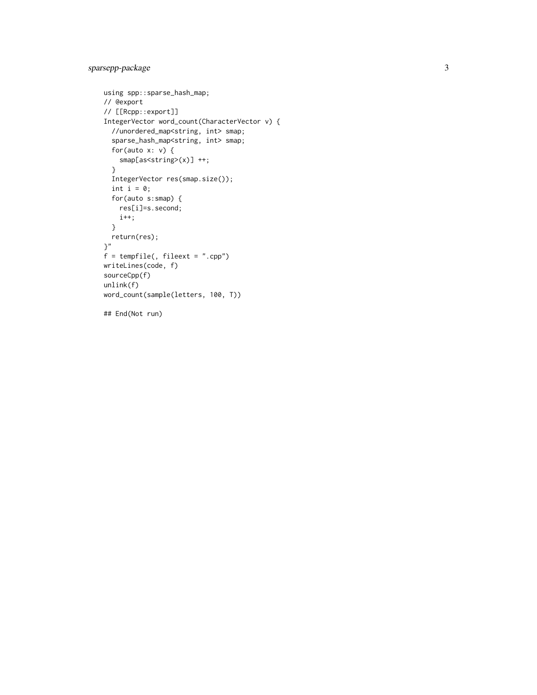```
using spp::sparse_hash_map;
// @export
// [[Rcpp::export]]
IntegerVector word_count(CharacterVector v) {
  //unordered_map<string, int> smap;
  sparse_hash_map<string, int> smap;
  for(auto x: v) {
    smap[as<string>(x)] ++;
  }
  IntegerVector res(smap.size());
  int i = 0;for(auto s:smap) {
    res[i]=s.second;
    i++;
  }
  return(res);
}"
f = tempfile(, fileext = "cpp")writeLines(code, f)
sourceCpp(f)
unlink(f)
word_count(sample(letters, 100, T))
## End(Not run)
```